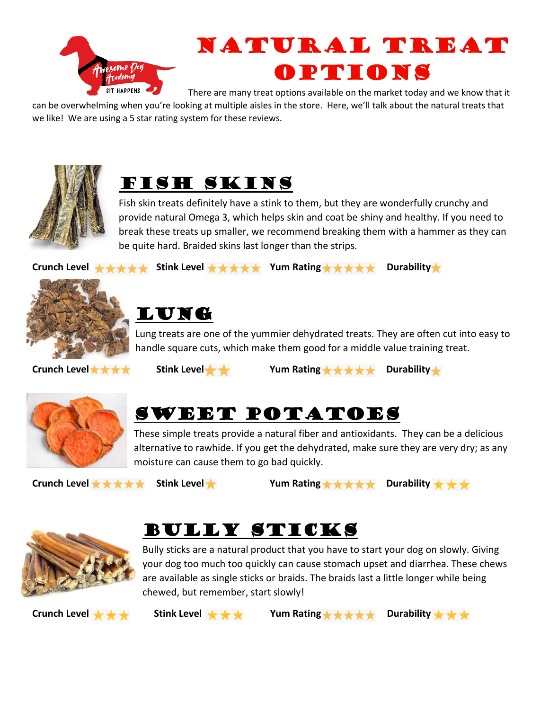

# Natural Treat Options

There are many treat options available on the market today and we know that it

can be overwhelming when you're looking at multiple aisles in the store. Here, we'll talk about the natural treats that we like! We are using a 5 star rating system for these reviews.





Fish skin treats definitely have a stink to them, but they are wonderfully crunchy and provide natural Omega 3, which helps skin and coat be shiny and healthy. If you need to break these treats up smaller, we recommend breaking them with a hammer as they can be quite hard. Braided skins last longer than the strips.





#### Lung

Lung treats are one of the yummier dehydrated treats. They are often cut into easy to handle square cuts, which make them good for a middle value training treat.



Crunch Level ★ ★ ★ **Stink Level ★ ★** Yum Rating ★ ★ ★ ★ Durability **★** 



### Sweet Potatoes

These simple treats provide a natural fiber and antioxidants. They can be a delicious alternative to rawhide. If you get the dehydrated, make sure they are very dry; as any moisture can cause them to go bad quickly.

Crunch Level ★ ★ ★ ★ Stink Level ★ Yum Rating ★ ★ ★ ★ Durability ★ <del>★</del> ★





Bully sticks are a natural product that you have to start your dog on slowly. Giving your dog too much too quickly can cause stomach upset and diarrhea. These chews are available as single sticks or braids. The braids last a little longer while being chewed, but remember, start slowly!